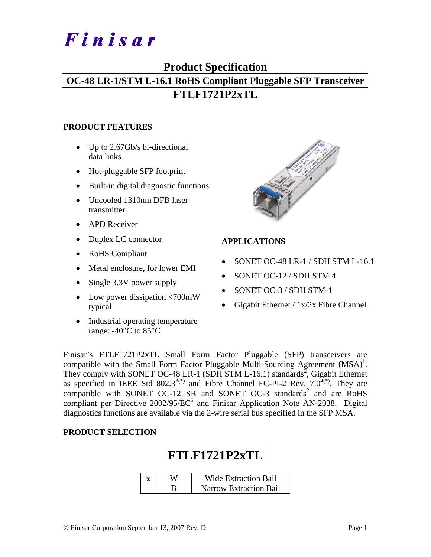# Finisar

## **Product Specification**

## **OC-48 LR-1/STM L-16.1 RoHS Compliant Pluggable SFP Transceiver FTLF1721P2xTL**

#### **PRODUCT FEATURES**

- Up to 2.67Gb/s bi-directional data links
- Hot-pluggable SFP footprint
- Built-in digital diagnostic functions
- Uncooled 1310nm DFB laser transmitter
- APD Receiver
- Duplex LC connector
- RoHS Compliant
- Metal enclosure, for lower EMI
- Single 3.3V power supply
- Low power dissipation <700mW typical
- Industrial operating temperature range: -40°C to 85°C



### **APPLICATIONS**

- SONET OC-48 LR-1 / SDH STM L-16.1
- SONET OC-12 / SDH STM 4
- SONET OC-3 / SDH STM-1
- Gigabit Ethernet /  $1x/2x$  Fibre Channel

Finisar's FTLF1721P2xTL Small Form Factor Pluggable (SFP) transceivers are compatible with the Small Form Factor Pluggable Multi-Sourcing Agreement  $(MSA)^{1}$ . They comply with SONET OC-48 LR-1 (SDH STM L-16.1) standards<sup>2</sup>, Gigabit Ethernet as specified in IEEE Std 802.3<sup>3(\*)</sup> and Fibre Channel FC-PI-2 Rev.  $7.0^{4(*)}$ . They are compatible with SONET OC-12 SR and SONET OC-3 standards<sup>2</sup> and are RoHS compliant per Directive  $2002/95/EC^5$  and Finisar Application Note AN-2038. Digital diagnostics functions are available via the 2-wire serial bus specified in the SFP MSA.

#### **PRODUCT SELECTION**

| <b>FTLF1721P2xTL</b> |                               |  |  |  |  |  |
|----------------------|-------------------------------|--|--|--|--|--|
|                      | <b>Wide Extraction Bail</b>   |  |  |  |  |  |
|                      | <b>Narrow Extraction Bail</b> |  |  |  |  |  |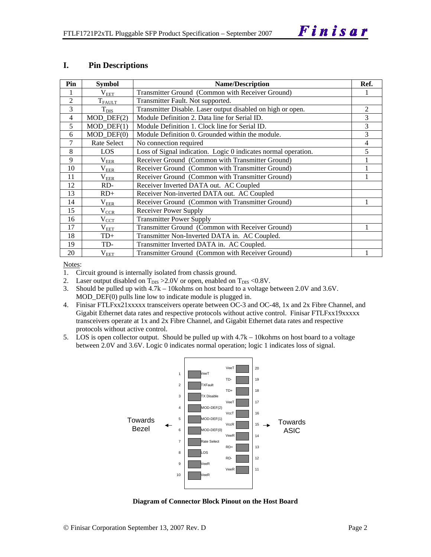#### **I. Pin Descriptions**

| Pin            | <b>Symbol</b>               | <b>Name/Description</b>                                        |   |  |  |
|----------------|-----------------------------|----------------------------------------------------------------|---|--|--|
|                | $\rm V_{EET}$               | Transmitter Ground (Common with Receiver Ground)               |   |  |  |
| $\overline{2}$ | $\mathrm{T_{FAULT}}$        | Transmitter Fault. Not supported.                              |   |  |  |
| 3              | $T_{\rm DIS}$               | Transmitter Disable. Laser output disabled on high or open.    | 2 |  |  |
| 4              | $MOD_$ DEF(2)               | Module Definition 2. Data line for Serial ID.                  | 3 |  |  |
| 5              | $MOD_$ <del>DEF</del> $(1)$ | Module Definition 1. Clock line for Serial ID.                 | 3 |  |  |
| 6              | $MOD_$ DEF $(0)$            | Module Definition 0. Grounded within the module.               | 3 |  |  |
| 7              | Rate Select                 | No connection required                                         | 4 |  |  |
| 8              | <b>LOS</b>                  | Loss of Signal indication. Logic 0 indicates normal operation. | 5 |  |  |
| 9              | $\rm V_{EER}$               | Receiver Ground (Common with Transmitter Ground)               |   |  |  |
| 10             | $\rm V_{EER}$               | Receiver Ground (Common with Transmitter Ground)               |   |  |  |
| 11             | $\rm V_{EER}$               | Receiver Ground (Common with Transmitter Ground)               |   |  |  |
| 12             | RD-                         | Receiver Inverted DATA out. AC Coupled                         |   |  |  |
| 13             | $RD+$                       | Receiver Non-inverted DATA out. AC Coupled                     |   |  |  |
| 14             | $\rm V_{EER}$               | Receiver Ground (Common with Transmitter Ground)               |   |  |  |
| 15             | $\rm V_{CCR}$               | <b>Receiver Power Supply</b>                                   |   |  |  |
| 16             | $V_{\text{CCT}}$            | <b>Transmitter Power Supply</b>                                |   |  |  |
| 17             | $\rm V_{EET}$               | Transmitter Ground (Common with Receiver Ground)               |   |  |  |
| 18             | $TD+$                       | Transmitter Non-Inverted DATA in. AC Coupled.                  |   |  |  |
| 19             | TD-                         | Transmitter Inverted DATA in. AC Coupled.                      |   |  |  |
| 20             | $\rm V_{EET}$               | Transmitter Ground (Common with Receiver Ground)               |   |  |  |

Notes:

1. Circuit ground is internally isolated from chassis ground.

2. Laser output disabled on  $T_{DIS} > 2.0V$  or open, enabled on  $T_{DIS} < 0.8V$ .

3. Should be pulled up with 4.7k – 10kohms on host board to a voltage between 2.0V and 3.6V. MOD\_DEF(0) pulls line low to indicate module is plugged in.

- 4. Finisar FTLFxx21xxxxx transceivers operate between OC-3 and OC-48, 1x and 2x Fibre Channel, and Gigabit Ethernet data rates and respective protocols without active control. Finisar FTLFxx19xxxxx transceivers operate at 1x and 2x Fibre Channel, and Gigabit Ethernet data rates and respective protocols without active control.
- 5. LOS is open collector output. Should be pulled up with 4.7k 10kohms on host board to a voltage between 2.0V and 3.6V. Logic 0 indicates normal operation; logic 1 indicates loss of signal.



**Diagram of Connector Block Pinout on the Host Board**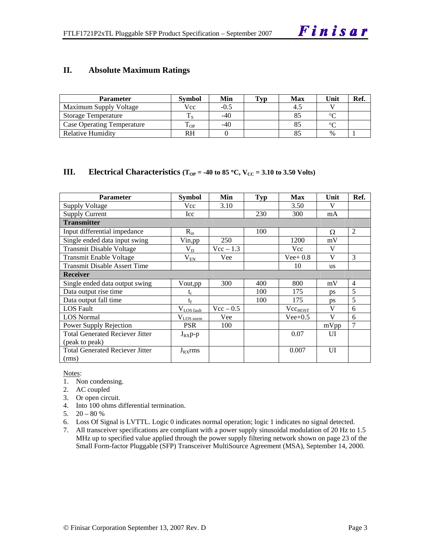#### **II. Absolute Maximum Ratings**

| <b>Parameter</b>                  | Svmbol | Min    | Typ | Max | Unit   | Ref. |
|-----------------------------------|--------|--------|-----|-----|--------|------|
| Maximum Supply Voltage            | Vcc    | $-0.5$ |     |     |        |      |
| <b>Storage Temperature</b>        |        | $-40$  |     |     | $\sim$ |      |
| <b>Case Operating Temperature</b> | l OP   | $-40$  |     |     | $\sim$ |      |
| Relative Humidity                 | RH     |        |     |     | $\%$   |      |

#### **III.** Electrical Characteristics ( $T_{OP} = -40$  to 85 °C,  $V_{CC} = 3.10$  to 3.50 Volts)

| <b>Parameter</b>                       | Symbol           | Min         | <b>Typ</b> | <b>Max</b>          | Unit         | Ref.           |
|----------------------------------------|------------------|-------------|------------|---------------------|--------------|----------------|
| <b>Supply Voltage</b>                  | Vcc              | 3.10        |            | 3.50                | V            |                |
| <b>Supply Current</b>                  | Icc              |             | 230        | 300                 | mA           |                |
| <b>Transmitter</b>                     |                  |             |            |                     |              |                |
| Input differential impedance           | $R_{in}$         |             | 100        |                     | Ω            | 2              |
| Single ended data input swing          | Vin,pp           | 250         |            | 1200                | mV           |                |
| <b>Transmit Disable Voltage</b>        | $V_D$            | $Vec - 1.3$ |            | <b>Vcc</b>          | V            |                |
| Transmit Enable Voltage                | $V_{EN}$         | Vee         |            | $Vee+0.8$           | V            | 3              |
| <b>Transmit Disable Assert Time</b>    |                  |             |            | 10                  | <b>us</b>    |                |
| <b>Receiver</b>                        |                  |             |            |                     |              |                |
| Single ended data output swing         | Vout, pp         | 300         | 400        | 800                 | mV           | $\overline{4}$ |
| Data output rise time                  | $\mathrm{t_{r}}$ |             | 100        | 175                 | ps           | 5              |
| Data output fall time                  | $t_f$            |             | 100        | 175                 | ps           | 5              |
| <b>LOS</b> Fault                       | $V_{LOS$ fault   | $Vec - 0.5$ |            | Vec <sub>HOST</sub> | V            | 6              |
| <b>LOS Normal</b>                      | $V_{LQS norm}$   | Vee         |            | $Vee+0.5$           | $\mathbf{V}$ | 6              |
| Power Supply Rejection                 | <b>PSR</b>       | 100         |            |                     | mVpp         | 7              |
| <b>Total Generated Reciever Jitter</b> | $J_{RX}p-p$      |             |            | 0.07                | UI           |                |
| (peak to peak)                         |                  |             |            |                     |              |                |
| <b>Total Generated Reciever Jitter</b> | $J_{RX}$ rms     |             |            | 0.007               | UI           |                |
| (rms)                                  |                  |             |            |                     |              |                |

#### Notes:

- 1. Non condensing.
- 2. AC coupled
- 3. Or open circuit.
- 4. Into 100 ohms differential termination.
- 5.  $20 80 %$
- 6. Loss Of Signal is LVTTL. Logic 0 indicates normal operation; logic 1 indicates no signal detected.
- 7. All transceiver specifications are compliant with a power supply sinusoidal modulation of 20 Hz to 1.5 MHz up to specified value applied through the power supply filtering network shown on page 23 of the Small Form-factor Pluggable (SFP) Transceiver MultiSource Agreement (MSA), September 14, 2000.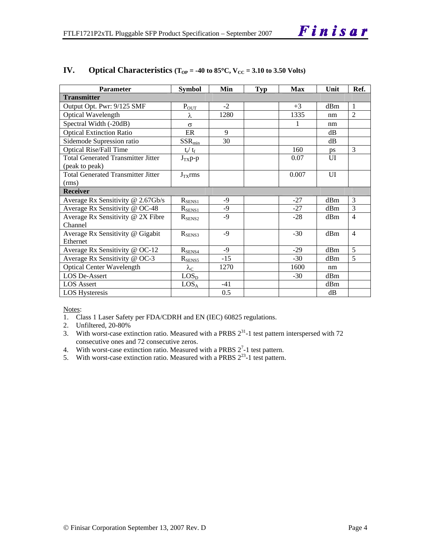| Parameter                                 | <b>Symbol</b>               | Min   | <b>Typ</b> | Max   | Unit | Ref.           |
|-------------------------------------------|-----------------------------|-------|------------|-------|------|----------------|
| <b>Transmitter</b>                        |                             |       |            |       |      |                |
| Output Opt. Pwr: 9/125 SMF                | $P_{OUT}$                   | $-2$  |            | $+3$  | dBm  | $\overline{1}$ |
| <b>Optical Wavelength</b>                 | λ                           | 1280  |            | 1335  | nm   | $\overline{2}$ |
| Spectral Width (-20dB)                    | $\sigma$                    |       |            | 1     | nm   |                |
| <b>Optical Extinction Ratio</b>           | ER                          | 9     |            |       | dB   |                |
| Sidemode Supression ratio                 | $SSR_{min}$                 | 30    |            |       | dB   |                |
| <b>Optical Rise/Fall Time</b>             | $t_r / t_f$                 |       |            | 160   | ps   | 3              |
| <b>Total Generated Transmitter Jitter</b> | $J_{TX}p-p$                 |       |            | 0.07  | UI   |                |
| (peak to peak)                            |                             |       |            |       |      |                |
| <b>Total Generated Transmitter Jitter</b> | $J_{TX}$ rms                |       |            | 0.007 | UI   |                |
| (rms)                                     |                             |       |            |       |      |                |
| <b>Receiver</b>                           |                             |       |            |       |      |                |
| Average Rx Sensitivity @ 2.67Gb/s         | $R_{SENS1}$                 | -9    |            | $-27$ | dBm  | 3              |
| Average Rx Sensitivity @ OC-48            | $R_{SENS1}$                 | $-9$  |            | $-27$ | dBm  | 3              |
| Average Rx Sensitivity @ 2X Fibre         | $R_{\rm SENS2}$             | $-9$  |            | $-28$ | dBm  | 4              |
| Channel                                   |                             |       |            |       |      |                |
| Average Rx Sensitivity @ Gigabit          | $R_{SENS3}$                 | $-9$  |            | $-30$ | dBm  | $\overline{4}$ |
| Ethernet                                  |                             |       |            |       |      |                |
| Average Rx Sensitivity @ OC-12            | $R_{SENS4}$                 | $-9$  |            | $-29$ | dBm  | 5              |
| Average Rx Sensitivity @ OC-3             | $R_{\underline{\rm SENS5}}$ | $-15$ |            | $-30$ | dBm  | 5              |
| <b>Optical Center Wavelength</b>          | $\lambda_{\rm C}$           | 1270  |            | 1600  | nm   |                |
| <b>LOS De-Assert</b>                      | LOS <sub>D</sub>            |       |            | $-30$ | dBm  |                |
| <b>LOS</b> Assert                         | $LOS_A$                     | $-41$ |            |       | dBm  |                |
| <b>LOS Hysteresis</b>                     |                             | 0.5   |            |       | dB   |                |

#### **IV.** Optical Characteristics ( $T_{OP} = -40$  to 85 $\degree$ C,  $V_{CC} = 3.10$  to 3.50 Volts)

Notes:

- 1. Class 1 Laser Safety per FDA/CDRH and EN (IEC) 60825 regulations.
- 2. Unfiltered, 20-80%
- 3. With worst-case extinction ratio. Measured with a PRBS  $2^{31}$ -1 test pattern interspersed with 72 consecutive ones and 72 consecutive zeros.
- 4. With worst-case extinction ratio. Measured with a PRBS  $2^7$ -1 test pattern.
- 5. With worst-case extinction ratio. Measured with a PRBS  $2^{23}$ -1 test pattern.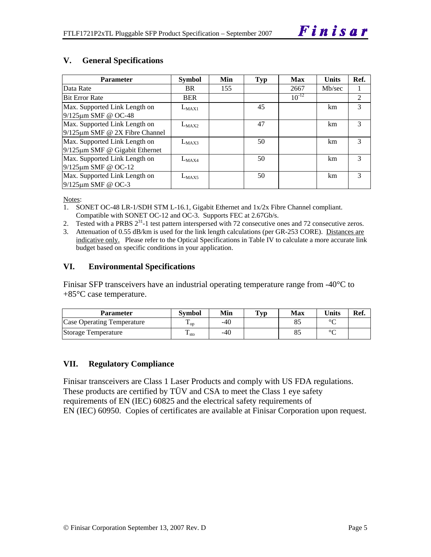#### **V. General Specifications**

| <b>Parameter</b>                                                      | <b>Symbol</b> | Min | <b>Typ</b> | <b>Max</b> | <b>Units</b> | Ref. |
|-----------------------------------------------------------------------|---------------|-----|------------|------------|--------------|------|
| Data Rate                                                             | <b>BR</b>     | 155 |            | 2667       | Mb/sec       |      |
| <b>Bit Error Rate</b>                                                 | <b>BER</b>    |     |            | $10^{-12}$ |              | 2    |
| Max. Supported Link Length on<br>9/125µm SMF @ OC-48                  | $L_{MAX1}$    |     | 45         |            | km           | 3    |
| Max. Supported Link Length on<br>$9/125 \mu m$ SMF @ 2X Fibre Channel | $L_{MAX2}$    |     | 47         |            | km           | 3    |
| Max. Supported Link Length on<br>$9/125 \mu m$ SMF @ Gigabit Ethernet | $L_{MAX3}$    |     | 50         |            | km           | 3    |
| Max. Supported Link Length on<br>$9/125 \mu m$ SMF @ OC-12            | $L_{MAX4}$    |     | 50         |            | km           | 3    |
| Max. Supported Link Length on<br>$9/125 \mu m$ SMF @ OC-3             | $L_{MAX5}$    |     | 50         |            | km           | 3    |

Notes:

- 1. SONET OC-48 LR-1/SDH STM L-16.1, Gigabit Ethernet and 1x/2x Fibre Channel compliant. Compatible with SONET OC-12 and OC-3. Supports FEC at 2.67Gb/s.
- 2. Tested with a PRBS  $2^{31}$ -1 test pattern interspersed with 72 consecutive ones and 72 consecutive zeros.
- 3. Attenuation of 0.55 dB/km is used for the link length calculations (per GR-253 CORE). Distances are indicative only. Please refer to the Optical Specifications in Table IV to calculate a more accurate link budget based on specific conditions in your application.

#### **VI. Environmental Specifications**

Finisar SFP transceivers have an industrial operating temperature range from -40°C to +85°C case temperature.

| <b>Parameter</b>           | Svmbol              | Min   | $\mathbf{T}_{\mathbf{V}\mathbf{p}}$ | Max | <b>Units</b> | Ref. |
|----------------------------|---------------------|-------|-------------------------------------|-----|--------------|------|
| Case Operating Temperature | $\mathbf{L}_{OD}$   | -40   |                                     |     | $\circ$      |      |
| Storage Temperature        | m<br>$\frac{1}{10}$ | $-40$ |                                     |     | $\sim$       |      |

#### **VII. Regulatory Compliance**

Finisar transceivers are Class 1 Laser Products and comply with US FDA regulations. These products are certified by TÜV and CSA to meet the Class 1 eye safety requirements of EN (IEC) 60825 and the electrical safety requirements of EN (IEC) 60950. Copies of certificates are available at Finisar Corporation upon request.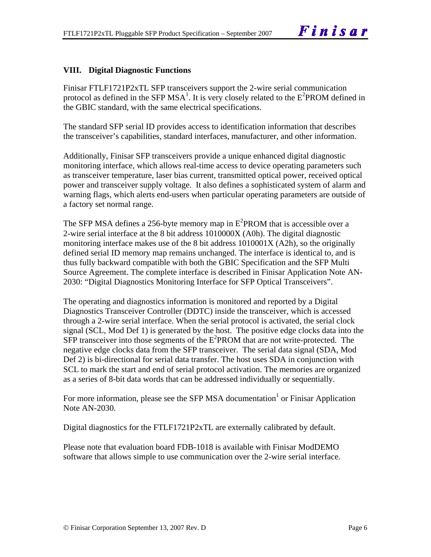#### **VIII. Digital Diagnostic Functions**

Finisar FTLF1721P2xTL SFP transceivers support the 2-wire serial communication protocol as defined in the SFP MSA<sup>1</sup>. It is very closely related to the  $E^2$ PROM defined in the GBIC standard, with the same electrical specifications.

The standard SFP serial ID provides access to identification information that describes the transceiver's capabilities, standard interfaces, manufacturer, and other information.

Additionally, Finisar SFP transceivers provide a unique enhanced digital diagnostic monitoring interface, which allows real-time access to device operating parameters such as transceiver temperature, laser bias current, transmitted optical power, received optical power and transceiver supply voltage. It also defines a sophisticated system of alarm and warning flags, which alerts end-users when particular operating parameters are outside of a factory set normal range.

The SFP MSA defines a 256-byte memory map in  $E^2$ PROM that is accessible over a 2-wire serial interface at the 8 bit address 1010000X (A0h). The digital diagnostic monitoring interface makes use of the 8 bit address 1010001X (A2h), so the originally defined serial ID memory map remains unchanged. The interface is identical to, and is thus fully backward compatible with both the GBIC Specification and the SFP Multi Source Agreement. The complete interface is described in Finisar Application Note AN-2030: "Digital Diagnostics Monitoring Interface for SFP Optical Transceivers".

The operating and diagnostics information is monitored and reported by a Digital Diagnostics Transceiver Controller (DDTC) inside the transceiver, which is accessed through a 2-wire serial interface. When the serial protocol is activated, the serial clock signal (SCL, Mod Def 1) is generated by the host. The positive edge clocks data into the  $SFP$  transceiver into those segments of the  $E^2$ PROM that are not write-protected. The negative edge clocks data from the SFP transceiver. The serial data signal (SDA, Mod Def 2) is bi-directional for serial data transfer. The host uses SDA in conjunction with SCL to mark the start and end of serial protocol activation. The memories are organized as a series of 8-bit data words that can be addressed individually or sequentially.

For more information, please see the SFP MSA documentation<sup>1</sup> or Finisar Application Note AN-2030.

Digital diagnostics for the FTLF1721P2xTL are externally calibrated by default.

Please note that evaluation board FDB-1018 is available with Finisar ModDEMO software that allows simple to use communication over the 2-wire serial interface.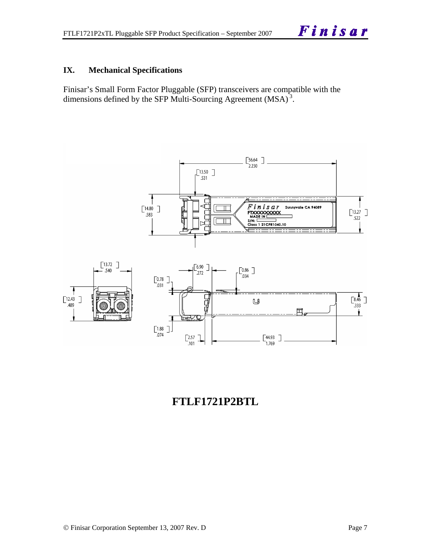#### **IX. Mechanical Specifications**

Finisar's Small Form Factor Pluggable (SFP) transceivers are compatible with the dimensions defined by the SFP Multi-Sourcing Agreement (MSA)<sup>3</sup>.



## **FTLF1721P2BTL**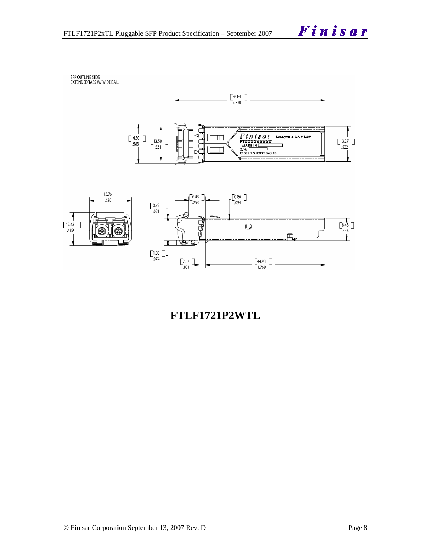SFP OUTLINE STDS<br>EXTENDED TABS W/ WIDE BAIL





## **FTLF1721P2WTL**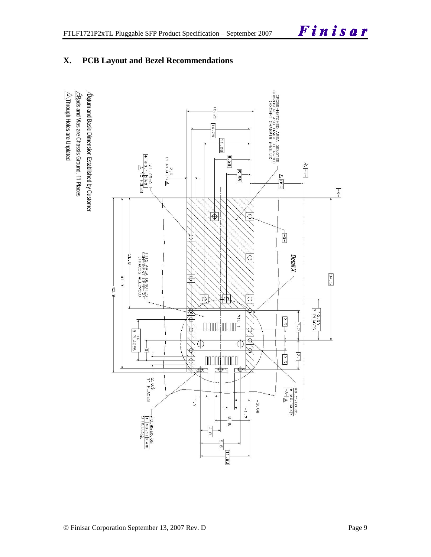### **X. PCB Layout and Bezel Recommendations**

 $\hat{\triangle}$ Through Holes are Unplated  $\sqrt{2}$ Rads and Vias are Chassis Ground, 11 Places  $\Delta$ atum and Basic Dimension Established by Customer

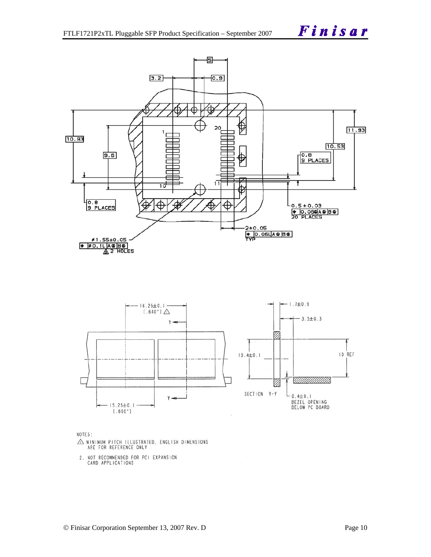



NOTES:

- $\triangle$  MINIMUM PITCH ILLUSTRATED, ENGLISH DIMENSIONS ARE FOR REFERENCE ONLY
- 2. NOT RECOMMENDED FOR PCI EXPANSION<br>CARD APPLICATIONS